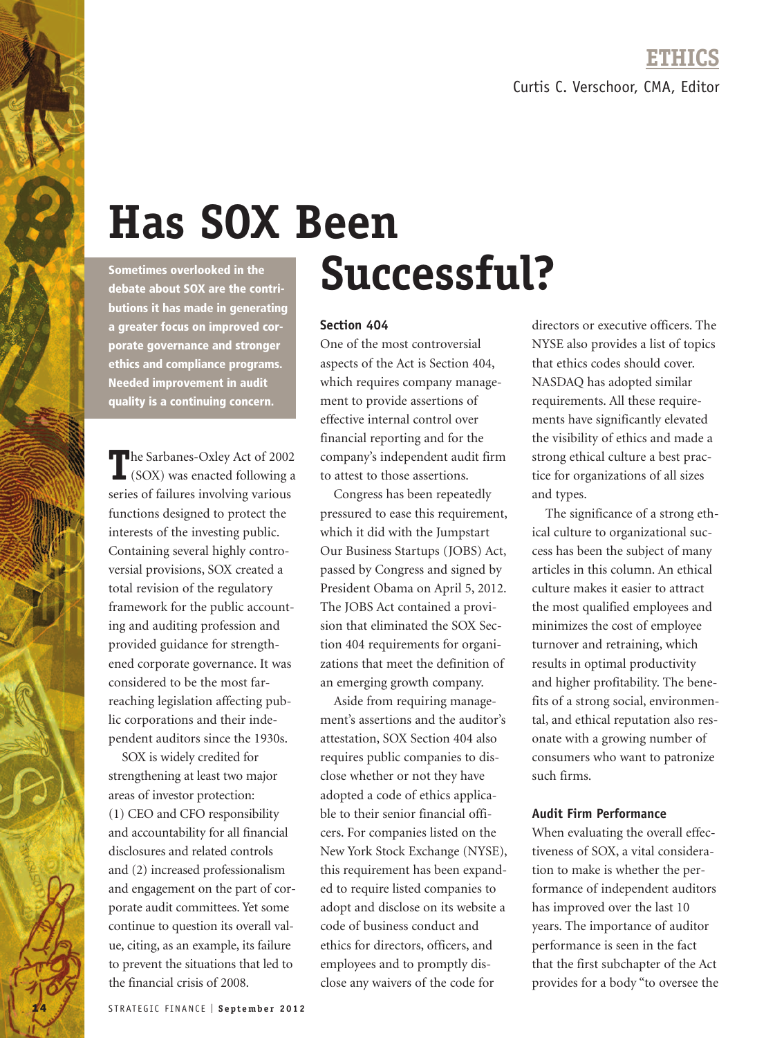### **ETHICS**

Curtis C. Verschoor, CMA, Editor

# **Has SOX Been**

**debate about SOX are the contributions it has made in generating a greater focus on improved corporate governance and stronger ethics and compliance programs. Needed improvement in audit quality is a continuing concern.**

The Sarbanes-Oxley Act of 2002<br>(SOX) was enacted following a series of failures involving various functions designed to protect the interests of the investing public. Containing several highly controversial provisions, SOX created a total revision of the regulatory framework for the public accounting and auditing profession and provided guidance for strengthened corporate governance. It was considered to be the most farreaching legislation affecting public corporations and their independent auditors since the 1930s.

SOX is widely credited for strengthening at least two major areas of investor protection: (1) CEO and CFO responsibility and accountability for all financial disclosures and related controls and (2) increased professionalism and engagement on the part of corporate audit committees. Yet some continue to question its overall value, citing, as an example, its failure to prevent the situations that led to the financial crisis of 2008.

## **Sumetimes** overlooked in the **SUCCESSful?**

#### **Section 404**

One of the most controversial aspects of the Act is Section 404, which requires company management to provide assertions of effective internal control over financial reporting and for the company's independent audit firm to attest to those assertions.

Congress has been repeatedly pressured to ease this requirement, which it did with the Jumpstart Our Business Startups (JOBS) Act, passed by Congress and signed by President Obama on April 5, 2012. The JOBS Act contained a provision that eliminated the SOX Section 404 requirements for organizations that meet the definition of an emerging growth company.

Aside from requiring management's assertions and the auditor's attestation, SOX Section 404 also requires public companies to disclose whether or not they have adopted a code of ethics applicable to their senior financial officers. For companies listed on the New York Stock Exchange (NYSE), this requirement has been expanded to require listed companies to adopt and disclose on its website a code of business conduct and ethics for directors, officers, and employees and to promptly disclose any waivers of the code for

directors or executive officers. The NYSE also provides a list of topics that ethics codes should cover. NASDAQ has adopted similar requirements. All these requirements have significantly elevated the visibility of ethics and made a strong ethical culture a best practice for organizations of all sizes and types.

The significance of a strong ethical culture to organizational success has been the subject of many articles in this column. An ethical culture makes it easier to attract the most qualified employees and minimizes the cost of employee turnover and retraining, which results in optimal productivity and higher profitability. The benefits of a strong social, environmental, and ethical reputation also resonate with a growing number of consumers who want to patronize such firms.

#### **Audit Firm Performance**

When evaluating the overall effectiveness of SOX, a vital consideration to make is whether the performance of independent auditors has improved over the last 10 years. The importance of auditor performance is seen in the fact that the first subchapter of the Act provides for a body "to oversee the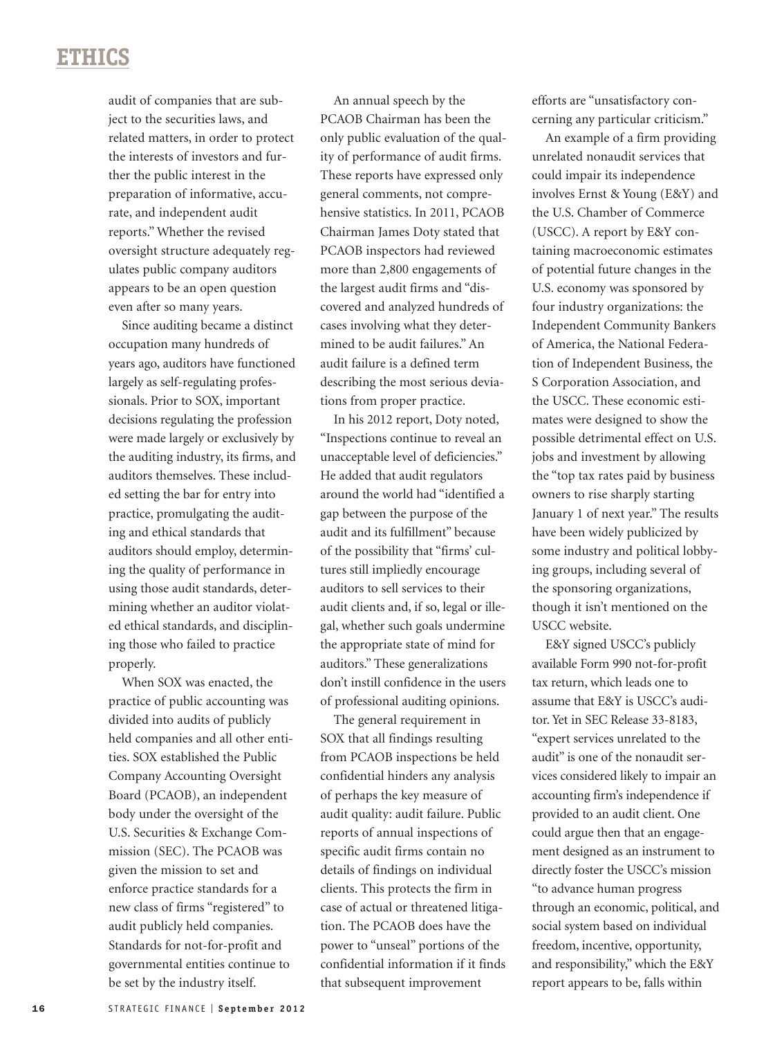## **ETHICS**

audit of companies that are subject to the securities laws, and related matters, in order to protect the interests of investors and further the public interest in the preparation of informative, accurate, and independent audit reports." Whether the revised oversight structure adequately regulates public company auditors appears to be an open question even after so many years.

Since auditing became a distinct occupation many hundreds of years ago, auditors have functioned largely as self-regulating professionals. Prior to SOX, important decisions regulating the profession were made largely or exclusively by the auditing industry, its firms, and auditors themselves. These included setting the bar for entry into practice, promulgating the auditing and ethical standards that auditors should employ, determining the quality of performance in using those audit standards, determining whether an auditor violated ethical standards, and disciplining those who failed to practice properly.

When SOX was enacted, the practice of public accounting was divided into audits of publicly held companies and all other entities. SOX established the Public Company Accounting Oversight Board (PCAOB), an independent body under the oversight of the U.S. Securities & Exchange Commission (SEC). The PCAOB was given the mission to set and enforce practice standards for a new class of firms "registered" to audit publicly held companies. Standards for not-for-profit and governmental entities continue to be set by the industry itself.

An annual speech by the PCAOB Chairman has been the only public evaluation of the quality of performance of audit firms. These reports have expressed only general comments, not comprehensive statistics. In 2011, PCAOB Chairman James Doty stated that PCAOB inspectors had reviewed more than 2,800 engagements of the largest audit firms and "discovered and analyzed hundreds of cases involving what they determined to be audit failures." An audit failure is a defined term describing the most serious deviations from proper practice.

In his 2012 report, Doty noted, "Inspections continue to reveal an unacceptable level of deficiencies." He added that audit regulators around the world had "identified a gap between the purpose of the audit and its fulfillment" because of the possibility that "firms' cultures still impliedly encourage auditors to sell services to their audit clients and, if so, legal or illegal, whether such goals undermine the appropriate state of mind for auditors." These generalizations don't instill confidence in the users of professional auditing opinions.

The general requirement in SOX that all findings resulting from PCAOB inspections be held confidential hinders any analysis of perhaps the key measure of audit quality: audit failure. Public reports of annual inspections of specific audit firms contain no details of findings on individual clients. This protects the firm in case of actual or threatened litigation. The PCAOB does have the power to "unseal" portions of the confidential information if it finds that subsequent improvement

efforts are "unsatisfactory concerning any particular criticism."

An example of a firm providing unrelated nonaudit services that could impair its independence involves Ernst & Young (E&Y) and the U.S. Chamber of Commerce (USCC). A report by E&Y containing macroeconomic estimates of potential future changes in the U.S. economy was sponsored by four industry organizations: the Independent Community Bankers of America, the National Federation of Independent Business, the S Corporation Association, and the USCC. These economic estimates were designed to show the possible detrimental effect on U.S. jobs and investment by allowing the "top tax rates paid by business owners to rise sharply starting January 1 of next year." The results have been widely publicized by some industry and political lobbying groups, including several of the sponsoring organizations, though it isn't mentioned on the USCC website.

E&Y signed USCC's publicly available Form 990 not-for-profit tax return, which leads one to assume that E&Y is USCC's auditor. Yet in SEC Release 33-8183, "expert services unrelated to the audit" is one of the nonaudit services considered likely to impair an accounting firm's independence if provided to an audit client. One could argue then that an engagement designed as an instrument to directly foster the USCC's mission "to advance human progress through an economic, political, and social system based on individual freedom, incentive, opportunity, and responsibility," which the E&Y report appears to be, falls within